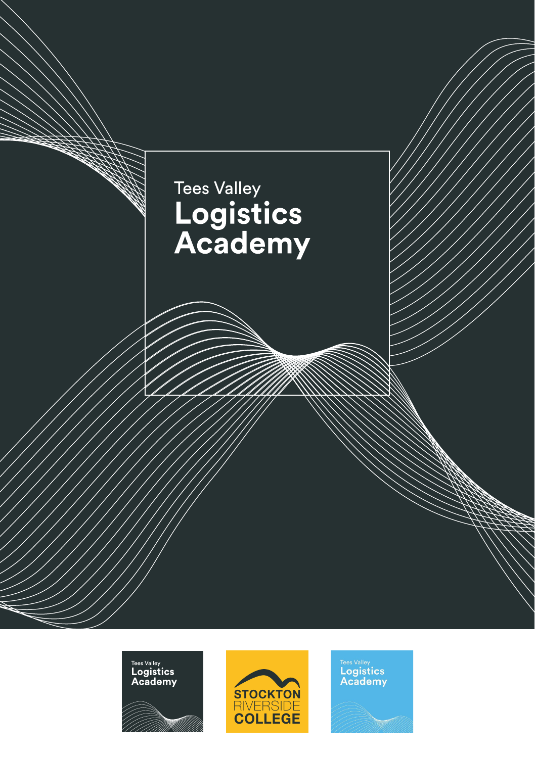





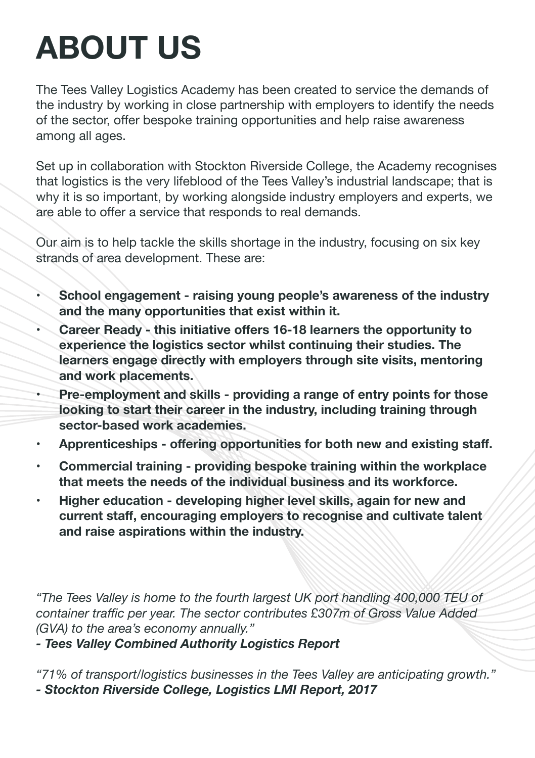# **ABOUT US**

The Tees Valley Logistics Academy has been created to service the demands of the industry by working in close partnership with employers to identify the needs of the sector, offer bespoke training opportunities and help raise awareness among all ages.

Set up in collaboration with Stockton Riverside College, the Academy recognises that logistics is the very lifeblood of the Tees Valley's industrial landscape; that is why it is so important, by working alongside industry employers and experts, we are able to offer a service that responds to real demands.

Our aim is to help tackle the skills shortage in the industry, focusing on six key strands of area development. These are:

- **• School engagement raising young people's awareness of the industry and the many opportunities that exist within it.**
- **• Career Ready this initiative offers 16-18 learners the opportunity to experience the logistics sector whilst continuing their studies. The learners engage directly with employers through site visits, mentoring and work placements.**
- **• Pre-employment and skills providing a range of entry points for those looking to start their career in the industry, including training through sector-based work academies.**
- **• Apprenticeships offering opportunities for both new and existing staff.**
- **• Commercial training providing bespoke training within the workplace that meets the needs of the individual business and its workforce.**
- **• Higher education developing higher level skills, again for new and current staff, encouraging employers to recognise and cultivate talent and raise aspirations within the industry.**

*"The Tees Valley is home to the fourth largest UK port handling 400,000 TEU of container traffic per year. The sector contributes £307m of Gross Value Added (GVA) to the area's economy annually."* 

*- Tees Valley Combined Authority Logistics Report*

*"71% of transport/logistics businesses in the Tees Valley are anticipating growth." - Stockton Riverside College, Logistics LMI Report, 2017*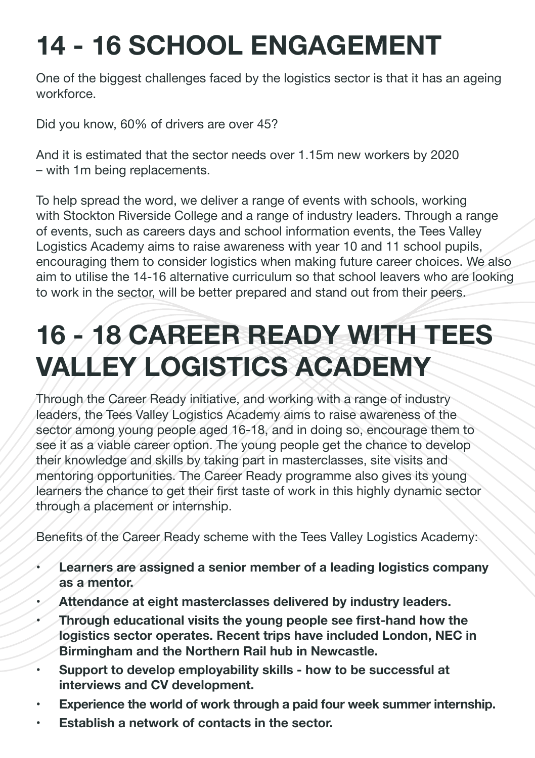#### **14 - 16 SCHOOL ENGAGEMENT**

One of the biggest challenges faced by the logistics sector is that it has an ageing workforce.

Did you know, 60% of drivers are over 45?

And it is estimated that the sector needs over 1.15m new workers by 2020 – with 1m being replacements.

To help spread the word, we deliver a range of events with schools, working with Stockton Riverside College and a range of industry leaders. Through a range of events, such as careers days and school information events, the Tees Valley Logistics Academy aims to raise awareness with year 10 and 11 school pupils, encouraging them to consider logistics when making future career choices. We also aim to utilise the 14-16 alternative curriculum so that school leavers who are looking to work in the sector, will be better prepared and stand out from their peers.

#### **16 - 18 CAREER READY WITH TEES VALLEY LOGISTICS ACADEMY**

Through the Career Ready initiative, and working with a range of industry leaders, the Tees Valley Logistics Academy aims to raise awareness of the sector among young people aged 16-18, and in doing so, encourage them to see it as a viable career option. The young people get the chance to develop their knowledge and skills by taking part in masterclasses, site visits and mentoring opportunities. The Career Ready programme also gives its young learners the chance to get their first taste of work in this highly dynamic sector through a placement or internship.

Benefits of the Career Ready scheme with the Tees Valley Logistics Academy:

- **• Learners are assigned a senior member of a leading logistics company as a mentor.**
- **• Attendance at eight masterclasses delivered by industry leaders.**
- **• Through educational visits the young people see first-hand how the logistics sector operates. Recent trips have included London, NEC in Birmingham and the Northern Rail hub in Newcastle.**
- **• Support to develop employability skills how to be successful at interviews and CV development.**
- **• Experience the world of work through a paid four week summer internship.**
- **• Establish a network of contacts in the sector.**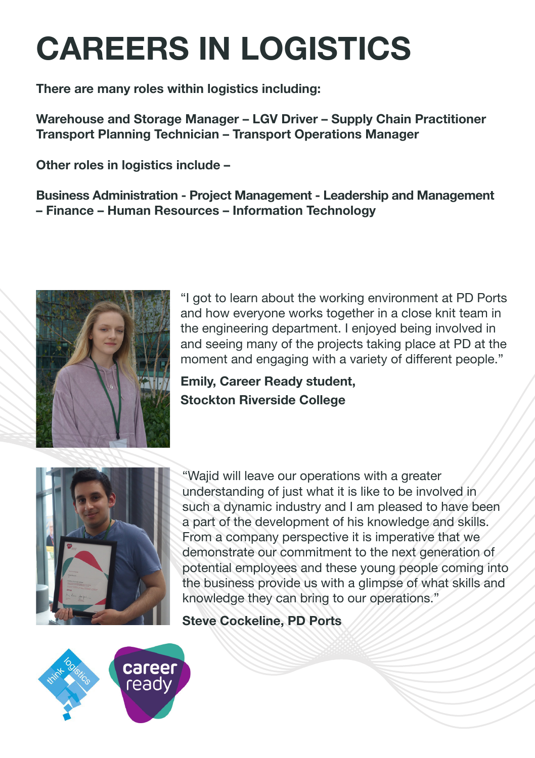# **CAREERS IN LOGISTICS**

**There are many roles within logistics including:** 

**Warehouse and Storage Manager – LGV Driver – Supply Chain Practitioner Transport Planning Technician – Transport Operations Manager** 

**Other roles in logistics include –** 

**Business Administration - Project Management - Leadership and Management – Finance – Human Resources – Information Technology**



"I got to learn about the working environment at PD Ports and how everyone works together in a close knit team in the engineering department. I enjoyed being involved in and seeing many of the projects taking place at PD at the moment and engaging with a variety of different people."

**Emily, Career Ready student, Stockton Riverside College**



"Wajid will leave our operations with a greater understanding of just what it is like to be involved in such a dynamic industry and I am pleased to have been a part of the development of his knowledge and skills. From a company perspective it is imperative that we demonstrate our commitment to the next generation of potential employees and these young people coming into the business provide us with a glimpse of what skills and knowledge they can bring to our operations."

#### **Steve Cockeline, PD Ports**

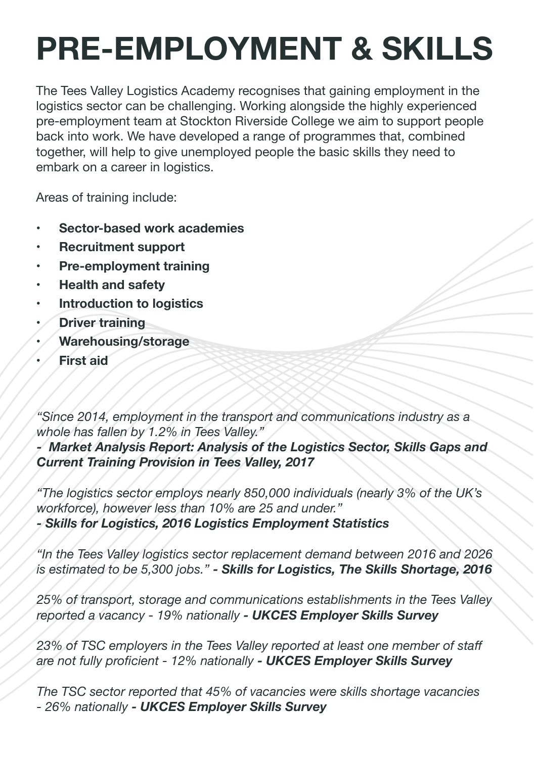## **PRE-EMPLOYMENT & SKILLS**

The Tees Valley Logistics Academy recognises that gaining employment in the logistics sector can be challenging. Working alongside the highly experienced pre-employment team at Stockton Riverside College we aim to support people back into work. We have developed a range of programmes that, combined together, will help to give unemployed people the basic skills they need to embark on a career in logistics.

Areas of training include:

- **• Sector-based work academies**
- **• Recruitment support**
- **• Pre-employment training**
- **• Health and safety**
- **• Introduction to logistics**
- **• Driver training**
- **• Warehousing/storage**
- **• First aid**

*"Since 2014, employment in the transport and communications industry as a whole has fallen by 1.2% in Tees Valley."* 

*- Market Analysis Report: Analysis of the Logistics Sector, Skills Gaps and Current Training Provision in Tees Valley, 2017*

*"The logistics sector employs nearly 850,000 individuals (nearly 3% of the UK's workforce), however less than 10% are 25 and under."* 

*- Skills for Logistics, 2016 Logistics Employment Statistics*

*"In the Tees Valley logistics sector replacement demand between 2016 and 2026 is estimated to be 5,300 jobs." - Skills for Logistics, The Skills Shortage, 2016*

*25% of transport, storage and communications establishments in the Tees Valley reported a vacancy - 19% nationally - UKCES Employer Skills Survey*

*23% of TSC employers in the Tees Valley reported at least one member of staff are not fully proficient - 12% nationally - UKCES Employer Skills Survey*

*The TSC sector reported that 45% of vacancies were skills shortage vacancies - 26% nationally - UKCES Employer Skills Survey*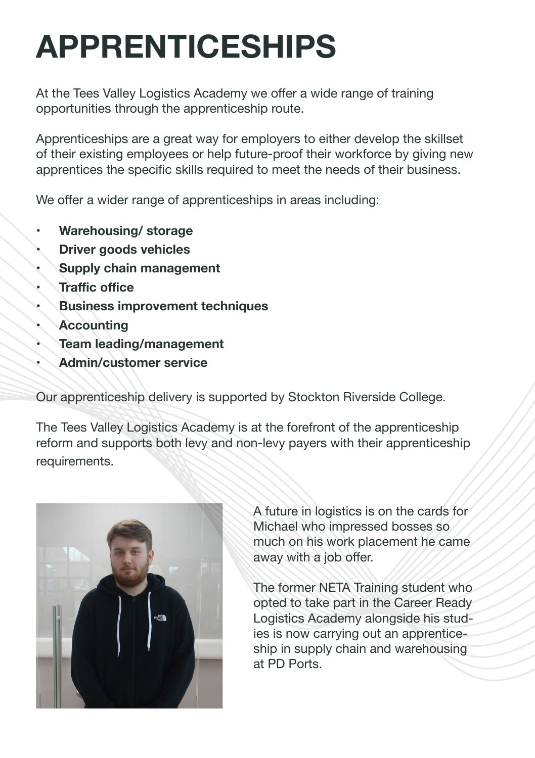## **APPRENTICESHIPS**

At the Tees Valley Logistics Academy we offer a wide range of training opportunities through the apprenticeship route.

Apprenticeships are a great way for employers to either develop the skillset of their existing employees or help future-proof their workforce by giving new apprentices the specific skills required to meet the needs of their business.

We offer a wider range of apprenticeships in areas including:

- **• Warehousing/ storage**
- **• Driver goods vehicles**
- **• Supply chain management**
- **• Traffic office**
- **• Business improvement techniques**
- **• Accounting**
- **• Team leading/management**
- **• Admin/customer service**

Our apprenticeship delivery is supported by Stockton Riverside College.

The Tees Valley Logistics Academy is at the forefront of the apprenticeship reform and supports both levy and non-levy payers with their apprenticeship requirements.



A future in logistics is on the cards for Michael who impressed bosses so much on his work placement he came away with a job offer.

The former NETA Training student who opted to take part in the Career Ready Logistics Academy alongside his studies is now carrying out an apprenticeship in supply chain and warehousing at PD Ports.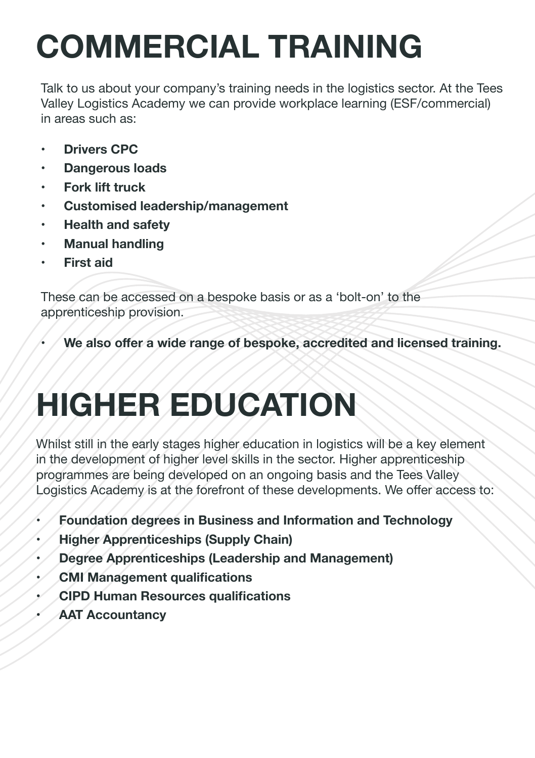# **COMMERCIAL TRAINING**

Talk to us about your company's training needs in the logistics sector. At the Tees Valley Logistics Academy we can provide workplace learning (ESF/commercial) in areas such as:

- **• Drivers CPC**
- **• Dangerous loads**
- **• Fork lift truck**
- **• Customised leadership/management**
- **• Health and safety**
- **• Manual handling**
- **• First aid**

These can be accessed on a bespoke basis or as a 'bolt-on' to the apprenticeship provision.

**• We also offer a wide range of bespoke, accredited and licensed training.**

## **HIGHER EDUCATION**

Whilst still in the early stages higher education in logistics will be a key element in the development of higher level skills in the sector. Higher apprenticeship programmes are being developed on an ongoing basis and the Tees Valley Logistics Academy is at the forefront of these developments. We offer access to:

- **• Foundation degrees in Business and Information and Technology**
- **• Higher Apprenticeships (Supply Chain)**
- **• Degree Apprenticeships (Leadership and Management)**
- **• CMI Management qualifications**
- **• CIPD Human Resources qualifications**
- **• AAT Accountancy**